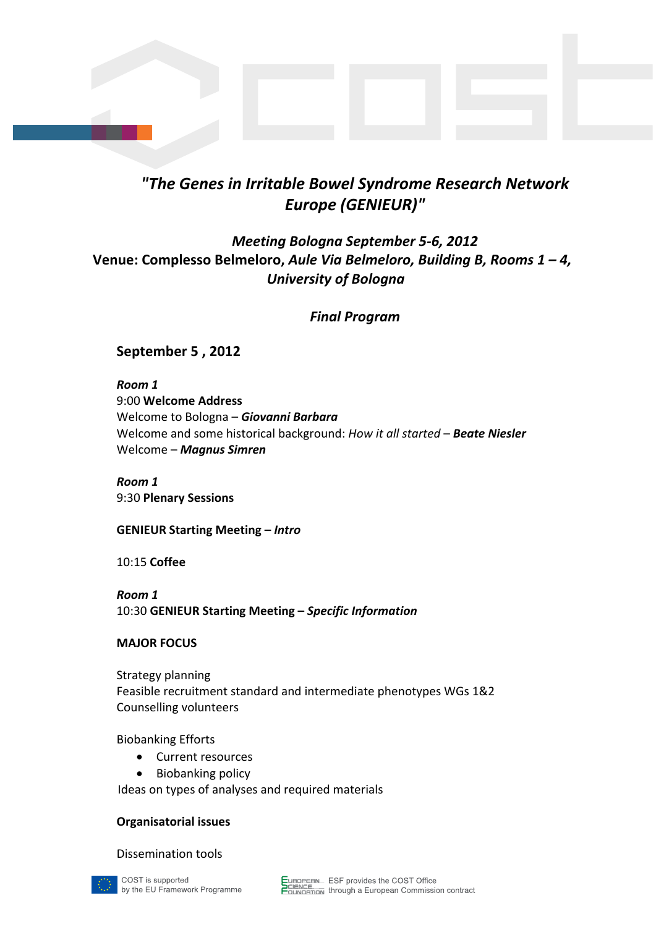# *"The Genes in Irritable Bowel Syndrome Research Network Europe (GENIEUR)"*

# *Meeting Bologna September 5‐6, 2012* **Venue: Complesso Belmeloro,** *Aule Via Belmeloro, Building B, Rooms 1 – 4, University of Bologna*

*Final Program*

### **September 5 , 2012**

*Room 1* 9:00 **Welcome Address** Welcome to Bologna – *Giovanni Barbara* Welcome and some historical background: *How it all started* – *Beate Niesler* Welcome – *Magnus Simren*

*Room 1* 9:30 **Plenary Sessions**

**GENIEUR Starting Meeting –** *Intro*

10:15 **Coffee**

*Room 1* 10:30 **GENIEUR Starting Meeting –** *Specific Information*

#### **MAJOR FOCUS**

Strategy planning Feasible recruitment standard and intermediate phenotypes WGs 1&2 Counselling volunteers

Biobanking Efforts

- Current resources
- Biobanking policy

Ideas on types of analyses and required materials

#### **Organisatorial issues**

#### Dissemination tools

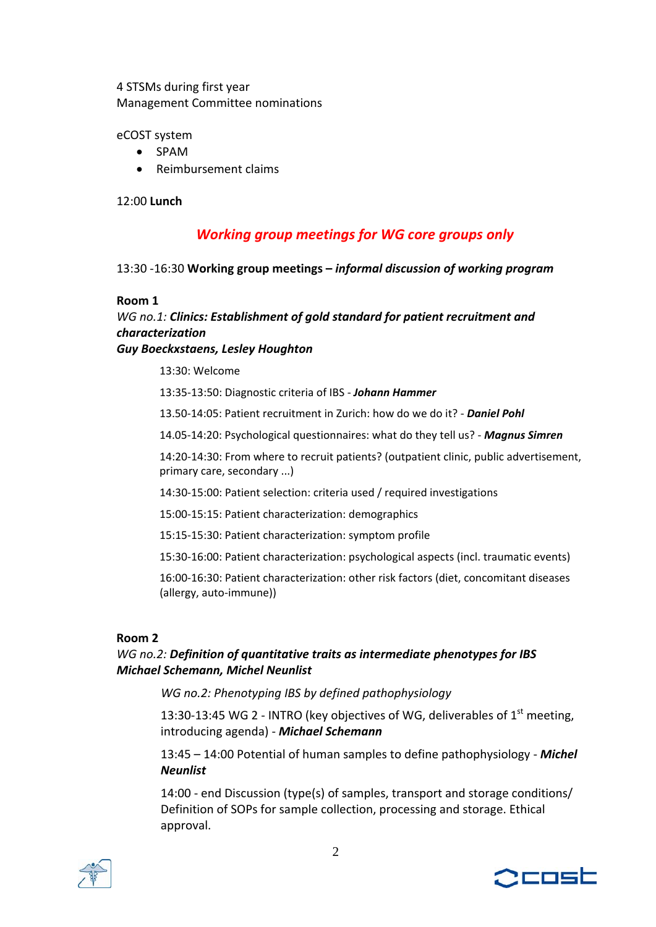### 4 STSMs during first year Management Committee nominations

eCOST system

- SPAM
- Reimbursement claims

12:00 **Lunch**

# *Working group meetings for WG core groups only*

13:30 ‐16:30 **Working group meetings –** *informal discussion of working program*

#### **Room 1**

# *WG no.1: Clinics: Establishment of gold standard for patient recruitment and characterization*

#### *Guy Boeckxstaens, Lesley Houghton*

13:30: Welcome

13:35‐13:50: Diagnostic criteria of IBS ‐ *Johann Hammer*

13.50‐14:05: Patient recruitment in Zurich: how do we do it? ‐ *Daniel Pohl*

14.05‐14:20: Psychological questionnaires: what do they tell us? ‐ *Magnus Simren*

14:20‐14:30: From where to recruit patients? (outpatient clinic, public advertisement, primary care, secondary ...)

14:30‐15:00: Patient selection: criteria used / required investigations

15:00‐15:15: Patient characterization: demographics

15:15‐15:30: Patient characterization: symptom profile

15:30‐16:00: Patient characterization: psychological aspects (incl. traumatic events)

16:00‐16:30: Patient characterization: other risk factors (diet, concomitant diseases (allergy, auto‐immune))

#### **Room 2**

#### *WG no.2: Definition of quantitative traits as intermediate phenotypes for IBS Michael Schemann, Michel Neunlist*

*WG no.2: Phenotyping IBS by defined pathophysiology*

13:30-13:45 WG 2 - INTRO (key objectives of WG, deliverables of  $1<sup>st</sup>$  meeting, introducing agenda) ‐ *Michael Schemann*

13:45 – 14:00 Potential of human samples to define pathophysiology ‐ *Michel Neunlist*

14:00 ‐ end Discussion (type(s) of samples, transport and storage conditions/ Definition of SOPs for sample collection, processing and storage. Ethical approval.



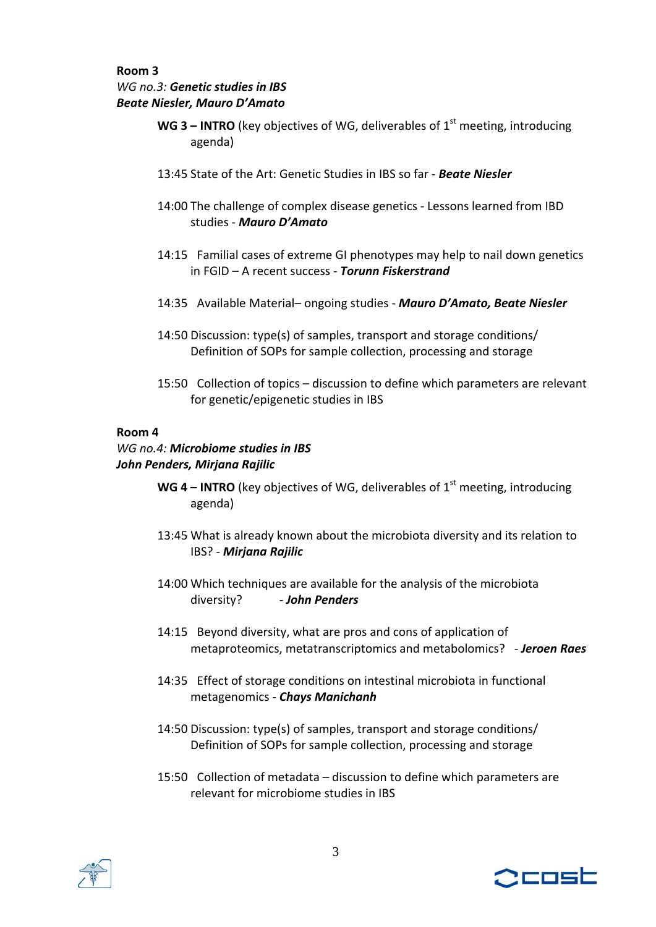### **Room 3** *WG no.3: Genetic studies in IBS Beate Niesler, Mauro D'Amato*

- **WG 3 <b>INTRO** (key objectives of WG, deliverables of  $1<sup>st</sup>$  meeting, introducing agenda)
- 13:45 State of the Art: Genetic Studies in IBS so far ‐ *Beate Niesler*
- 14:00 The challenge of complex disease genetics ‐ Lessons learned from IBD studies ‐ *Mauro D'Amato*
- 14:15 Familial cases of extreme GI phenotypes may help to nail down genetics in FGID – A recent success ‐ *Torunn Fiskerstrand*
- 14:35 Available Material– ongoing studies ‐ *Mauro D'Amato, Beate Niesler*
- 14:50 Discussion: type(s) of samples, transport and storage conditions/ Definition of SOPs for sample collection, processing and storage
- 15:50 Collection of topics discussion to define which parameters are relevant for genetic/epigenetic studies in IBS

### **Room 4**

### *WG no.4: Microbiome studies in IBS John Penders, Mirjana Rajilic*

- **WG** 4 **INTRO** (key objectives of WG, deliverables of  $1<sup>st</sup>$  meeting, introducing agenda)
- 13:45 What is already known about the microbiota diversity and its relation to IBS? ‐ *Mirjana Rajilic*
- 14:00 Which techniques are available for the analysis of the microbiota diversity? ‐ *John Penders*
- 14:15 Beyond diversity, what are pros and cons of application of metaproteomics, metatranscriptomics and metabolomics? *‐ Jeroen Raes*
- 14:35 Effect of storage conditions on intestinal microbiota in functional metagenomics ‐ *Chays Manichanh*
- 14:50 Discussion: type(s) of samples, transport and storage conditions/ Definition of SOPs for sample collection, processing and storage
- 15:50 Collection of metadata discussion to define which parameters are relevant for microbiome studies in IBS